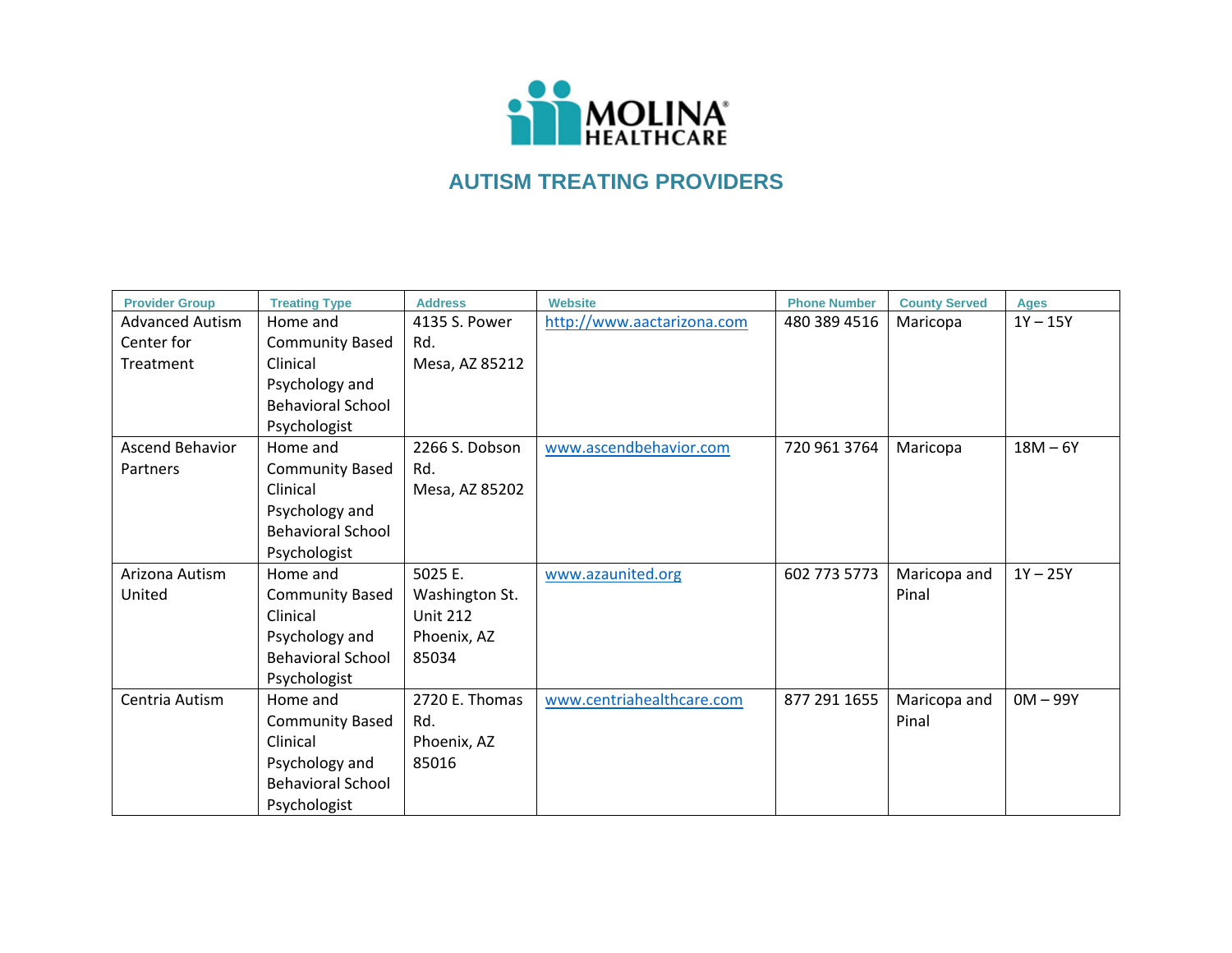

| <b>Provider Group</b>  | <b>Treating Type</b>     | <b>Address</b>  | <b>Website</b>             | <b>Phone Number</b> | <b>County Served</b> | <b>Ages</b> |
|------------------------|--------------------------|-----------------|----------------------------|---------------------|----------------------|-------------|
| <b>Advanced Autism</b> | Home and                 | 4135 S. Power   | http://www.aactarizona.com | 480 389 4516        | Maricopa             | $1Y - 15Y$  |
| Center for             | <b>Community Based</b>   | Rd.             |                            |                     |                      |             |
| Treatment              | Clinical                 | Mesa, AZ 85212  |                            |                     |                      |             |
|                        | Psychology and           |                 |                            |                     |                      |             |
|                        | <b>Behavioral School</b> |                 |                            |                     |                      |             |
|                        | Psychologist             |                 |                            |                     |                      |             |
| Ascend Behavior        | Home and                 | 2266 S. Dobson  | www.ascendbehavior.com     | 720 961 3764        | Maricopa             | $18M - 6Y$  |
| Partners               | <b>Community Based</b>   | Rd.             |                            |                     |                      |             |
|                        | Clinical                 | Mesa, AZ 85202  |                            |                     |                      |             |
|                        | Psychology and           |                 |                            |                     |                      |             |
|                        | <b>Behavioral School</b> |                 |                            |                     |                      |             |
|                        | Psychologist             |                 |                            |                     |                      |             |
| Arizona Autism         | Home and                 | 5025 E.         | www.azaunited.org          | 602 773 5773        | Maricopa and         | $1Y - 25Y$  |
| United                 | <b>Community Based</b>   | Washington St.  |                            |                     | Pinal                |             |
|                        | Clinical                 | <b>Unit 212</b> |                            |                     |                      |             |
|                        | Psychology and           | Phoenix, AZ     |                            |                     |                      |             |
|                        | <b>Behavioral School</b> | 85034           |                            |                     |                      |             |
|                        | Psychologist             |                 |                            |                     |                      |             |
| Centria Autism         | Home and                 | 2720 E. Thomas  | www.centriahealthcare.com  | 877 291 1655        | Maricopa and         | $OM - 99Y$  |
|                        | <b>Community Based</b>   | Rd.             |                            |                     | Pinal                |             |
|                        | Clinical                 | Phoenix, AZ     |                            |                     |                      |             |
|                        | Psychology and           | 85016           |                            |                     |                      |             |
|                        | <b>Behavioral School</b> |                 |                            |                     |                      |             |
|                        | Psychologist             |                 |                            |                     |                      |             |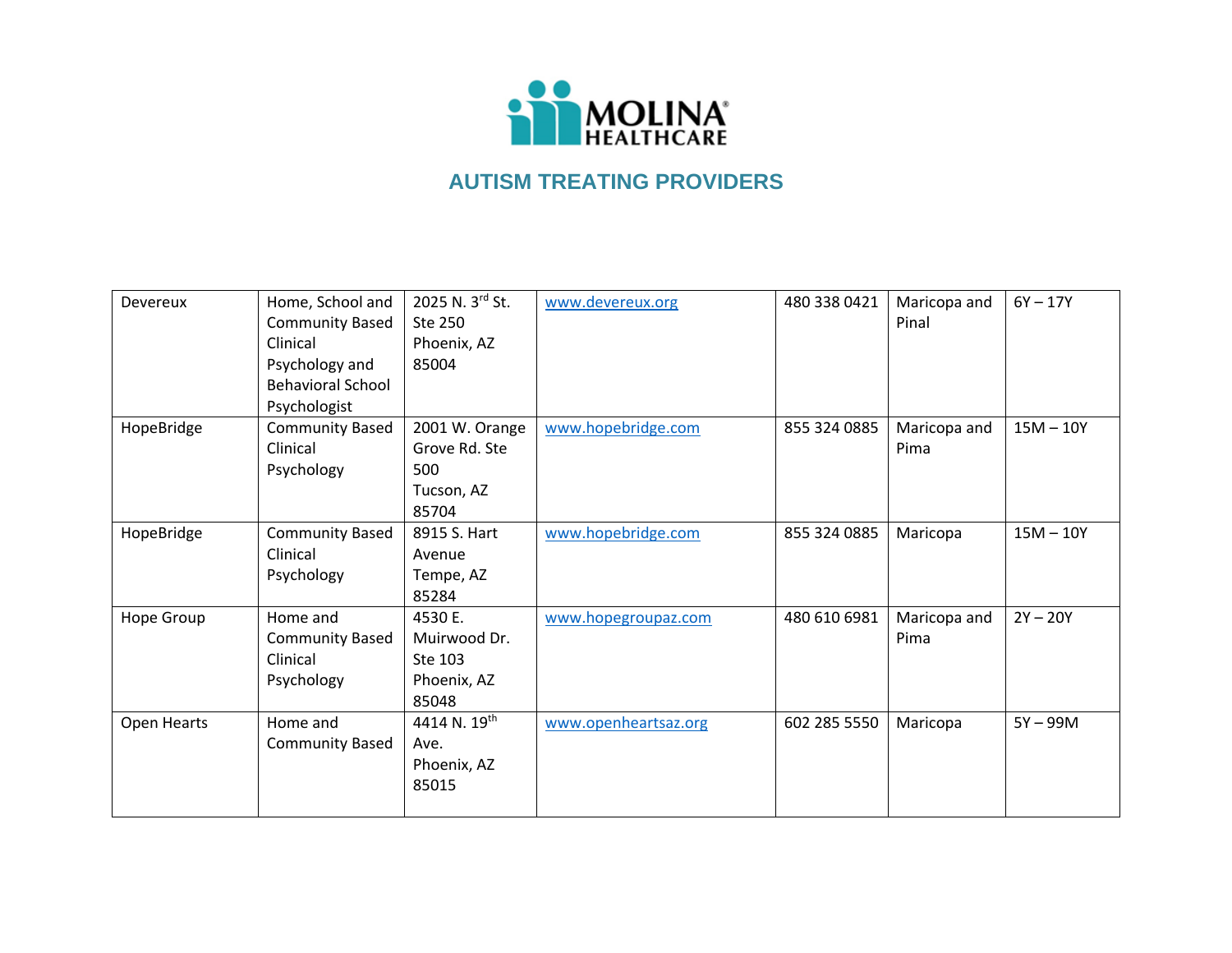

| Devereux    | Home, School and         | 2025 N. 3rd St. | www.devereux.org     | 480 338 0421 | Maricopa and | $6Y - 17Y$  |
|-------------|--------------------------|-----------------|----------------------|--------------|--------------|-------------|
|             | <b>Community Based</b>   | Ste 250         |                      |              | Pinal        |             |
|             | Clinical                 | Phoenix, AZ     |                      |              |              |             |
|             | Psychology and           | 85004           |                      |              |              |             |
|             | <b>Behavioral School</b> |                 |                      |              |              |             |
|             | Psychologist             |                 |                      |              |              |             |
| HopeBridge  | <b>Community Based</b>   | 2001 W. Orange  | www.hopebridge.com   | 855 324 0885 | Maricopa and | $15M - 10Y$ |
|             | Clinical                 | Grove Rd. Ste   |                      |              | Pima         |             |
|             | Psychology               | 500             |                      |              |              |             |
|             |                          | Tucson, AZ      |                      |              |              |             |
|             |                          | 85704           |                      |              |              |             |
| HopeBridge  | <b>Community Based</b>   | 8915 S. Hart    | www.hopebridge.com   | 855 324 0885 | Maricopa     | $15M - 10Y$ |
|             | Clinical                 | Avenue          |                      |              |              |             |
|             | Psychology               | Tempe, AZ       |                      |              |              |             |
|             |                          | 85284           |                      |              |              |             |
| Hope Group  | Home and                 | 4530 E.         | www.hopegroupaz.com  | 480 610 6981 | Maricopa and | $2Y - 20Y$  |
|             | <b>Community Based</b>   | Muirwood Dr.    |                      |              | Pima         |             |
|             | Clinical                 | Ste 103         |                      |              |              |             |
|             | Psychology               | Phoenix, AZ     |                      |              |              |             |
|             |                          | 85048           |                      |              |              |             |
| Open Hearts | Home and                 | 4414 N. 19th    | www.openheartsaz.org | 602 285 5550 | Maricopa     | $5Y - 99M$  |
|             | <b>Community Based</b>   | Ave.            |                      |              |              |             |
|             |                          | Phoenix, AZ     |                      |              |              |             |
|             |                          | 85015           |                      |              |              |             |
|             |                          |                 |                      |              |              |             |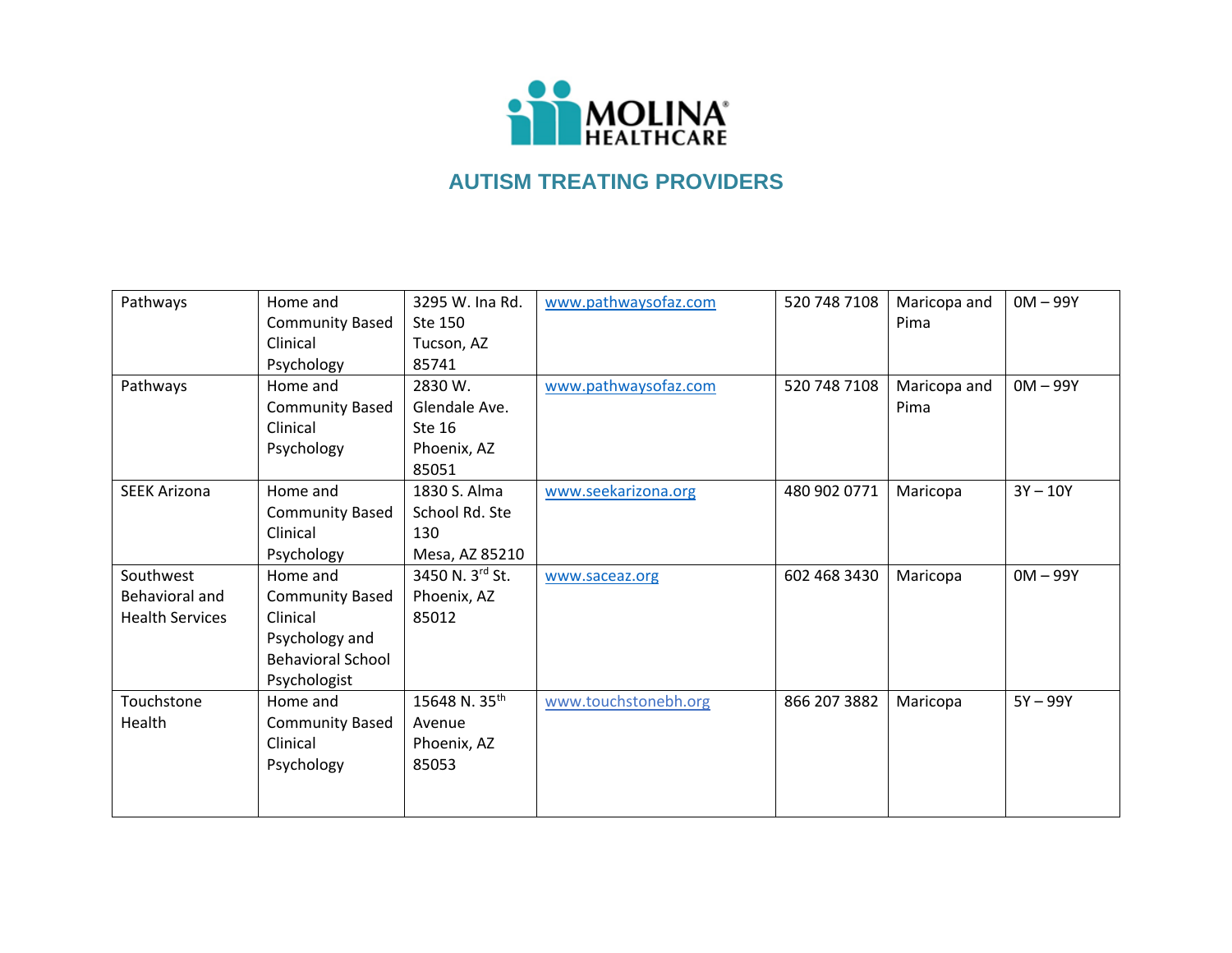

| Pathways               | Home and                 | 3295 W. Ina Rd.           | www.pathwaysofaz.com | 520 748 7108 | Maricopa and | $OM - 99Y$ |
|------------------------|--------------------------|---------------------------|----------------------|--------------|--------------|------------|
|                        | <b>Community Based</b>   | Ste 150                   |                      |              | Pima         |            |
|                        | Clinical                 | Tucson, AZ                |                      |              |              |            |
|                        | Psychology               | 85741                     |                      |              |              |            |
| Pathways               | Home and                 | 2830 W.                   | www.pathwaysofaz.com | 520 748 7108 | Maricopa and | $OM - 99Y$ |
|                        | <b>Community Based</b>   | Glendale Ave.             |                      |              | Pima         |            |
|                        | Clinical                 | Ste 16                    |                      |              |              |            |
|                        | Psychology               | Phoenix, AZ               |                      |              |              |            |
|                        |                          | 85051                     |                      |              |              |            |
| <b>SEEK Arizona</b>    | Home and                 | 1830 S. Alma              | www.seekarizona.org  | 480 902 0771 | Maricopa     | $3Y - 10Y$ |
|                        | <b>Community Based</b>   | School Rd. Ste            |                      |              |              |            |
|                        | Clinical                 | 130                       |                      |              |              |            |
|                        | Psychology               | Mesa, AZ 85210            |                      |              |              |            |
| Southwest              | Home and                 | 3450 N. 3rd St.           | www.saceaz.org       | 602 468 3430 | Maricopa     | $OM - 99Y$ |
| Behavioral and         | <b>Community Based</b>   | Phoenix, AZ               |                      |              |              |            |
| <b>Health Services</b> | Clinical                 | 85012                     |                      |              |              |            |
|                        | Psychology and           |                           |                      |              |              |            |
|                        | <b>Behavioral School</b> |                           |                      |              |              |            |
|                        | Psychologist             |                           |                      |              |              |            |
| Touchstone             | Home and                 | 15648 N. 35 <sup>th</sup> | www.touchstonebh.org | 866 207 3882 | Maricopa     | $5Y - 99Y$ |
| Health                 | <b>Community Based</b>   | Avenue                    |                      |              |              |            |
|                        | Clinical                 | Phoenix, AZ               |                      |              |              |            |
|                        | Psychology               | 85053                     |                      |              |              |            |
|                        |                          |                           |                      |              |              |            |
|                        |                          |                           |                      |              |              |            |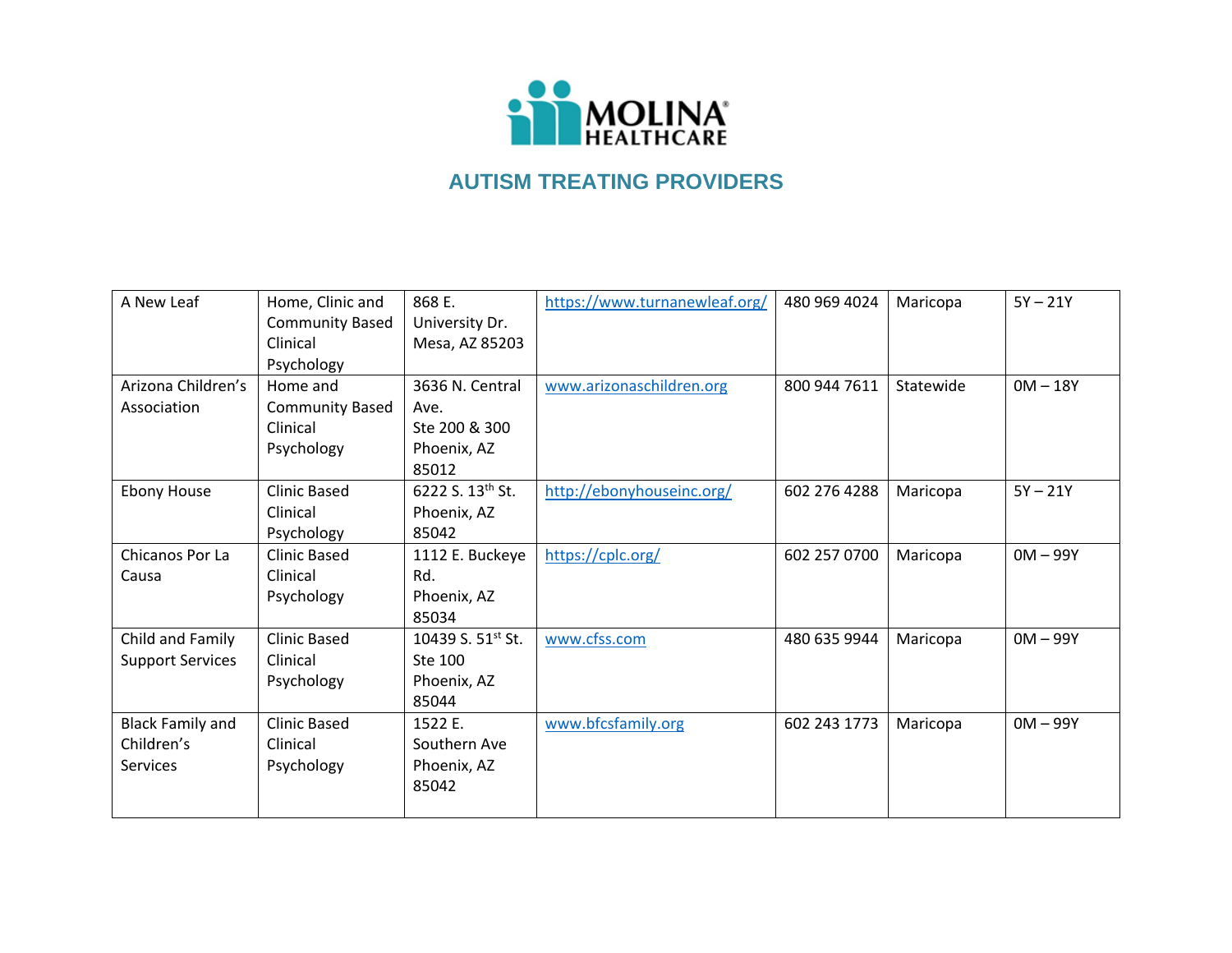

| A New Leaf              | Home, Clinic and       | 868 E.                        | https://www.turnanewleaf.org/ | 480 969 4024 | Maricopa  | $5Y - 21Y$ |
|-------------------------|------------------------|-------------------------------|-------------------------------|--------------|-----------|------------|
|                         | <b>Community Based</b> | University Dr.                |                               |              |           |            |
|                         | Clinical               | Mesa, AZ 85203                |                               |              |           |            |
|                         | Psychology             |                               |                               |              |           |            |
| Arizona Children's      | Home and               | 3636 N. Central               | www.arizonaschildren.org      | 800 944 7611 | Statewide | $OM - 18Y$ |
| Association             | <b>Community Based</b> | Ave.                          |                               |              |           |            |
|                         | Clinical               | Ste 200 & 300                 |                               |              |           |            |
|                         | Psychology             | Phoenix, AZ                   |                               |              |           |            |
|                         |                        | 85012                         |                               |              |           |            |
| <b>Ebony House</b>      | <b>Clinic Based</b>    | 6222 S. 13th St.              | http://ebonyhouseinc.org/     | 602 276 4288 | Maricopa  | $5Y - 21Y$ |
|                         | Clinical               | Phoenix, AZ                   |                               |              |           |            |
|                         | Psychology             | 85042                         |                               |              |           |            |
| Chicanos Por La         | <b>Clinic Based</b>    | 1112 E. Buckeye               | https://cplc.org/             | 602 257 0700 | Maricopa  | $OM - 99Y$ |
| Causa                   | Clinical               | Rd.                           |                               |              |           |            |
|                         | Psychology             | Phoenix, AZ                   |                               |              |           |            |
|                         |                        | 85034                         |                               |              |           |            |
| Child and Family        | <b>Clinic Based</b>    | 10439 S. 51 <sup>st</sup> St. | www.cfss.com                  | 480 635 9944 | Maricopa  | $OM - 99Y$ |
| <b>Support Services</b> | Clinical               | Ste 100                       |                               |              |           |            |
|                         | Psychology             | Phoenix, AZ                   |                               |              |           |            |
|                         |                        | 85044                         |                               |              |           |            |
| <b>Black Family and</b> | <b>Clinic Based</b>    | 1522 E.                       | www.bfcsfamily.org            | 602 243 1773 | Maricopa  | $OM - 99Y$ |
| Children's              | Clinical               | Southern Ave                  |                               |              |           |            |
| Services                | Psychology             | Phoenix, AZ                   |                               |              |           |            |
|                         |                        | 85042                         |                               |              |           |            |
|                         |                        |                               |                               |              |           |            |